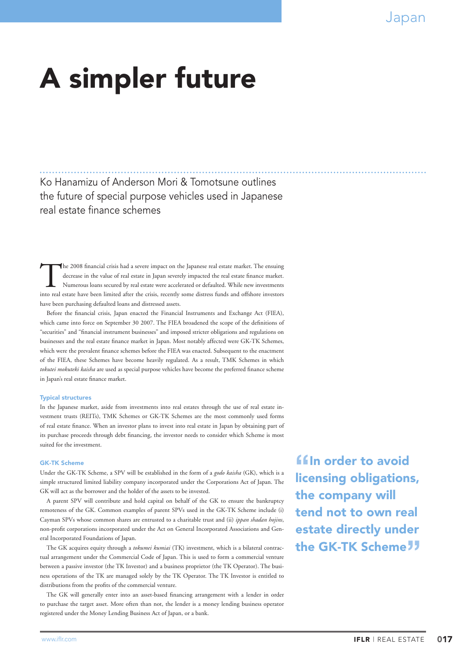# A simpler future

Ko Hanamizu of Anderson Mori & Tomotsune outlines the future of special purpose vehicles used in Japanese real estate finance schemes

The 2008 financial crisis had a severe impact on the Japanese real estate market. The ensuing decrease in the value of real estate in Japan severely impacted the real estate finance market. Numerous loans secured by real estate were accelerated or defaulted. While new investments into real estate have been limited after the crisis, recently some distress funds and offshore investors have been purchasing defaulted loans and distressed assets.

Before the financial crisis, Japan enacted the Financial Instruments and Exchange Act (FIEA), which came into force on September 30 2007. The FIEA broadened the scope of the definitions of "securities" and "financial instrument businesses" and imposed stricter obligations and regulations on businesses and the real estate finance market in Japan. Most notably affected were GK-TK Schemes, which were the prevalent finance schemes before the FIEA was enacted. Subsequent to the enactment of the FIEA, these Schemes have become heavily regulated. As a result, TMK Schemes in which *tokutei mokuteki kaisha* are used as special purpose vehicles have become the preferred finance scheme in Japan's real estate finance market.

#### Typical structures

In the Japanese market, aside from investments into real estates through the use of real estate investment trusts (REITs), TMK Schemes or GK-TK Schemes are the most commonly used forms of real estate finance. When an investor plans to invest into real estate in Japan by obtaining part of its purchase proceeds through debt financing, the investor needs to consider which Scheme is most suited for the investment.

#### GK-TK Scheme

Under the GK-TK Scheme, a SPV will be established in the form of a *godo kaisha* (GK), which is a simple structured limited liability company incorporated under the Corporations Act of Japan. The GK will act as the borrower and the holder of the assets to be invested.

A parent SPV will contribute and hold capital on behalf of the GK to ensure the bankruptcy remoteness of the GK. Common examples of parent SPVs used in the GK-TK Scheme include (i) Cayman SPVs whose common shares are entrusted to a charitable trust and (ii) *ippan shadan hojins*, non-profit corporations incorporated under the Act on General Incorporated Associations and General Incorporated Foundations of Japan.

The GK acquires equity through a *tokumei kumiai* (TK) investment, which is a bilateral contractual arrangement under the Commercial Code of Japan. This is used to form a commercial venture between a passive investor (the TK Investor) and a business proprietor (the TK Operator). The business operations of the TK are managed solely by the TK Operator. The TK Investor is entitled to distributions from the profits of the commercial venture.

The GK will generally enter into an asset-based financing arrangement with a lender in order to purchase the target asset. More often than not, the lender is a money lending business operator registered under the Money Lending Business Act of Japan, or a bank.

**"**In order to avoid<br>licensing obligations, the company will tend not to own real estate directly under the GK-TK Scheme<sup>77</sup>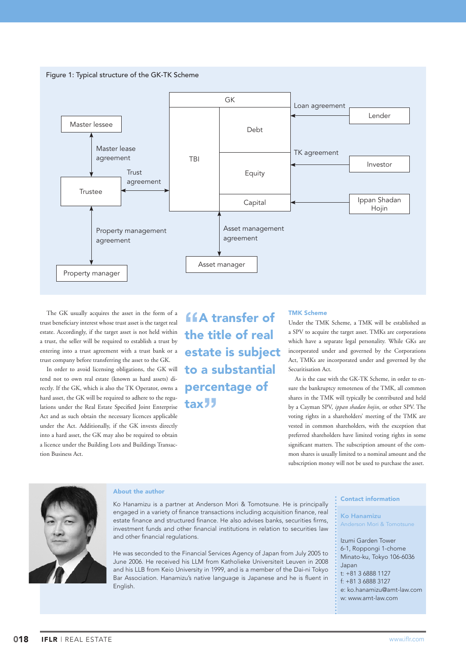

The GK usually acquires the asset in the form of a trust beneficiary interest whose trust asset is the target real estate. Accordingly, if the target asset is not held within a trust, the seller will be required to establish a trust by entering into a trust agreement with a trust bank or a trust company before transferring the asset to the GK.

In order to avoid licensing obligations, the GK will tend not to own real estate (known as hard assets) directly. If the GK, which is also the TK Operator, owns a hard asset, the GK will be required to adhere to the regulations under the Real Estate Specified Joint Enterprise Act and as such obtain the necessary licences applicable under the Act. Additionally, if the GK invests directly into a hard asset, the GK may also be required to obtain a licence under the Building Lots and Buildings Transaction Business Act.

**"A transfer of the title of real"** estate is subject to a substantial percentage of tax**"**

#### TMK Scheme

Under the TMK Scheme, a TMK will be established as a SPV to acquire the target asset. TMKs are corporations which have a separate legal personality. While GKs are incorporated under and governed by the Corporations Act, TMKs are incorporated under and governed by the Securitisation Act.

As is the case with the GK-TK Scheme, in order to ensure the bankruptcy remoteness of the TMK, all common shares in the TMK will typically be contributed and held by a Cayman SPV, *ippan shadan hojin*, or other SPV. The voting rights in a shareholders' meeting of the TMK are vested in common shareholders, with the exception that preferred shareholders have limited voting rights in some significant matters. The subscription amount of the common shares is usually limited to a nominal amount and the subscription money will not be used to purchase the asset.



## About the author

Ko Hanamizu is a partner at Anderson Mori & Tomotsune. He is principally engaged in a variety of finance transactions including acquisition finance, real estate finance and structured finance. He also advises banks, securities firms, investment funds and other financial institutions in relation to securities law and other financial regulations.

He was seconded to the Financial Services Agency of Japan from July 2005 to June 2006. He received his LLM from Katholieke Universiteit Leuven in 2008 and his LLB from Keio University in 1999, and is a member of the Dai-ni Tokyo Bar Association. Hanamizu's native language is Japanese and he is fluent in English.

### Contact information

Ko Hanamizu Anderson Mori & Tomotsune

Izumi Garden Tower 6-1, Roppongi 1-chome Minato-ku, Tokyo 106-6036 Japan  $t: +81.368881127$ f: +81 3 6888 3127 e: [ko.hanamizu@amt-law.com](mailto:<ko.hanamizu@amt-law.com>) w: www.amt-law.com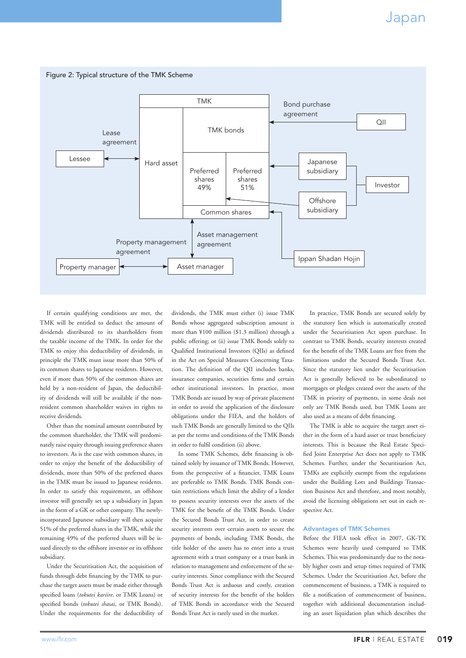

If certain qualifying conditions are met, the TMK will be entitled to deduct the amount of dividends distributed to its shareholders from the taxable income of the TMK. In order for the TMK to enjoy this deductibility of dividends, in principle the TMK must issue more than 50% of its common shares to Japanese residents. However, even if more than 50% of the common shares are held by a non-resident of Japan, the deductibility of dividends will still be available if the nonresident common shareholder waives its rights to receive dividends.

Other than the nominal amount contributed by the common shareholder, the TMK will predominately raise equity through issuing preference shares to investors. As is the case with common shares, in order to enjoy the benefit of the deductibility of dividends, more than 50% of the preferred shares in the TMK must be issued to Japanese residents. In order to satisfy this requirement, an offshore investor will generally set up a subsidiary in Japan in the form of a GK or other company. The newlyincorporated Japanese subsidiary will then acquire 51% of the preferred shares in the TMK, while the remaining 49% of the preferred shares will be issued directly to the offshore investor or its offshore subsidiary.

Under the Securitisation Act, the acquisition of funds through debt financing by the TMK to purchase the target assets must be made either through specified loans (*tokutei kariire*, or TMK Loans) or specified bonds (*tokutei shasai*, or TMK Bonds). Under the requirements for the deductibility of dividends, the TMK must either (i) issue TMK Bonds whose aggregated subscription amount is more than ¥100 million (\$1.3 million) through a public offering; or (ii) issue TMK Bonds solely to Qualified Institutional Investors (QIIs) as defined in the Act on Special Measures Concerning Taxation. The definition of the QII includes banks, insurance companies, securities firms and certain other institutional investors. In practice, most TMK Bonds are issued by way of private placement in order to avoid the application of the disclosure obligations under the FIEA, and the holders of such TMK Bonds are generally limited to the QIIs as per the terms and conditions of the TMK Bonds in order to fulfil condition (ii) above.

In some TMK Schemes, debt financing is obtained solely by issuance of TMK Bonds. However, from the perspective of a financier, TMK Loans are preferable to TMK Bonds. TMK Bonds contain restrictions which limit the ability of a lender to possess security interests over the assets of the TMK for the benefit of the TMK Bonds. Under the Secured Bonds Trust Act, in order to create security interests over certain assets to secure the payments of bonds, including TMK Bonds, the title holder of the assets has to enter into a trust agreement with a trust company or a trust bank in relation to management and enforcement of the security interests. Since compliance with the Secured Bonds Trust Act is arduous and costly, creation of security interests for the benefit of the holders of TMK Bonds in accordance with the Secured Bonds Trust Act is rarely used in the market.

In practice, TMK Bonds are secured solely by the statutory lien which is automatically created under the Securitisation Act upon purchase. In contrast to TMK Bonds, security interests created for the benefit of the TMK Loans are free from the limitations under the Secured Bonds Trust Act. Since the statutory lien under the Securitisation Act is generally believed to be subordinated to mortgages or pledges created over the assets of the TMK in priority of payments, in some deals not only are TMK Bonds used, but TMK Loans are also used as a means of debt financing.

The TMK is able to acquire the target asset either in the form of a hard asset or trust beneficiary interests. This is because the Real Estate Specified Joint Enterprise Act does not apply to TMK Schemes. Further, under the Securitisation Act, TMKs are explicitly exempt from the regulations under the Building Lots and Buildings Transaction Business Act and therefore, and most notably, avoid the licensing obligations set out in each respective Act.

### Advantages of TMK Schemes

Before the FIEA took effect in 2007, GK-TK Schemes were heavily used compared to TMK Schemes. This was predominantly due to the notably higher costs and setup times required of TMK Schemes. Under the Securitisation Act, before the commencement of business, a TMK is required to file a notification of commencement of business, together with additional documentation including an asset liquidation plan which describes the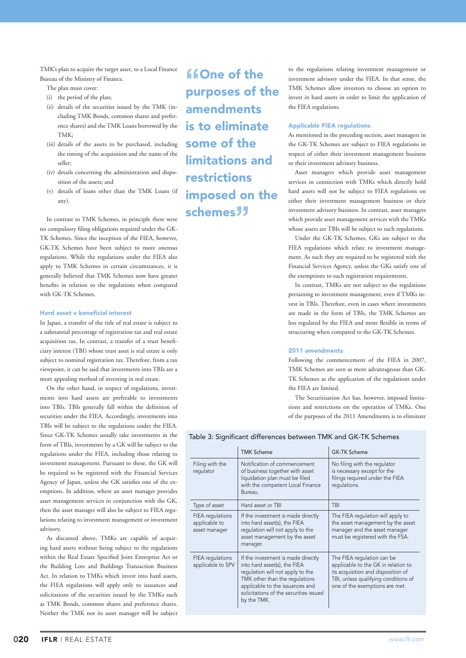TMK's plan to acquire the target asset, to a Local Finance Bureau of the Ministry of Finance.

The plan must cover:

- (i) the period of the plan;
- (ii) details of the securities issued by the TMK (including TMK Bonds, common shares and preference shares) and the TMK Loans borrowed by the TMK;
- (iii) details of the assets to be purchased, including the timing of the acquisition and the name of the seller;
- (iv) details concerning the administration and disposition of the assets; and
- (v) details of loans other than the TMK Loans (if any).

In contrast to TMK Schemes, in principle there were no compulsory filing obligations required under the GK-TK Schemes. Since the inception of the FIEA, however, GK-TK Schemes have been subject to more onerous regulations. While the regulations under the FIEA also apply to TMK Schemes in certain circumstances, it is generally believed that TMK Schemes now have greater benefits in relation to the regulations when compared with GK-TK Schemes.

#### Hard asset v beneficial interest

In Japan, a transfer of the title of real estate is subject to a substantial percentage of registration tax and real estate acquisition tax. In contrast, a transfer of a trust beneficiary interest (TBI) whose trust asset is real estate is only subject to nominal registration tax. Therefore, from a tax viewpoint, it can be said that investments into TBIs are a more appealing method of investing in real estate.

On the other hand, in respect of regulations, investments into hard assets are preferable to investments into TBIs. TBIs generally fall within the definition of securities under the FIEA. Accordingly, investments into TBIs will be subject to the regulations under the FIEA. Since GK-TK Schemes usually take investments in the form of TBIs, investments by a GK will be subject to the regulations under the FIEA, including those relating to investment management. Pursuant to these, the GK will be required to be registered with the Financial Services Agency of Japan, unless the GK satisfies one of the exemptions. In addition, where an asset manager provides asset management services in conjunction with the GK, then the asset manager will also be subject to FIEA regulations relating to investment management or investment advisory.

As discussed above, TMKs are capable of acquiring hard assets without being subject to the regulations within the Real Estate Specified Joint Enterprise Act or the Building Lots and Buildings Transaction Business Act. In relation to TMKs which invest into hard assets, the FIEA regulations will apply only to issuances and solicitations of the securities issued by the TMKs such as TMK Bonds, common shares and preference shares. Neither the TMK nor its asset manager will be subject

**"ffone of the purposes of the** amendments is to eliminate some of the limitations and restrictions imposed on the schemes**"**

to the regulations relating investment management or investment advisory under the FIEA. In that sense, the TMK Schemes allow investors to choose an option to invest in hard assets in order to limit the application of the FIEA regulations.

#### Applicable FIEA regulations

As mentioned in the preceding section, asset managers in the GK-TK Schemes are subject to FIEA regulations in respect of either their investment management business or their investment advisory business.

Asset managers which provide asset management services in connection with TMKs which directly hold hard assets will not be subject to FIEA regulations on either their investment management business or their investment advisory business. In contrast, asset managers which provide asset management services with the TMKs whose assets are TBIs will be subject to such regulations.

Under the GK-TK Schemes, GKs are subject to the FIEA regulations which relate to investment management. As such they are required to be registered with the Financial Services Agency, unless the GKs satisfy one of the exemptions to such registration requirements.

In contrast, TMKs are not subject to the regulations pertaining to investment management, even if TMKs invest in TBIs. Therefore, even in cases where investments are made in the form of TBIs, the TMK Schemes are less regulated by the FIEA and more flexible in terms of structuring when compared to the GK-TK Schemes.

### 2011 amendments

Following the commencement of the FIEA in 2007, TMK Schemes are seen as more advantageous than GK-TK Schemes as the application of the regulations under the FIEA are limited.

The Securitisation Act has, however, imposed limitations and restrictions on the operation of TMKs. One of the purposes of the 2011 Amendments is to eliminate

# Table 3: Significant differences between TMK and GK-TK Schemes

|                                                    | <b>TMK Scheme</b>                                                                                                                                                                                                                    | <b>GK-TK Scheme</b>                                                                                                                                                               |
|----------------------------------------------------|--------------------------------------------------------------------------------------------------------------------------------------------------------------------------------------------------------------------------------------|-----------------------------------------------------------------------------------------------------------------------------------------------------------------------------------|
| Filing with the<br>regulator                       | Notification of commencement<br>of business together with asset<br>liquidation plan must be filed<br>with the competent Local Finance<br>Bureau.                                                                                     | No filing with the regulator<br>is necessary except for the<br>filings required under the FIEA<br>requlations.                                                                    |
| Type of asset                                      | Hard asset or TBI                                                                                                                                                                                                                    | TBI                                                                                                                                                                               |
| FIEA regulations<br>applicable to<br>asset manager | If the investment is made directly<br>into hard asset(s), the FIEA<br>regulation will not apply to the<br>asset management by the asset<br>manager.                                                                                  | The FIEA regulation will apply to<br>the asset management by the asset<br>manager and the asset manager<br>must be registered with the FSA.                                       |
| FIEA regulations<br>applicable to SPV              | If the investment is made directly<br>into hard asset(s), the FIEA<br>regulation will not apply to the<br>TMK other than the regulations<br>applicable to the issuances and<br>solicitations of the securities issued<br>by the TMK. | The FIEA regulation can be<br>applicable to the GK in relation to<br>its acquisition and disposition of<br>TBI, unless qualifying conditions of<br>one of the exemptions are met. |